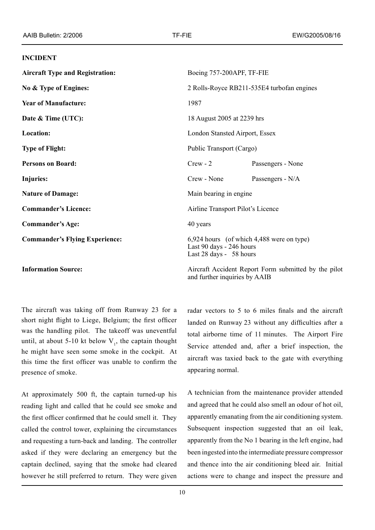## **INCIDENT**

| <b>Aircraft Type and Registration:</b> | Boeing 757-200APF, TF-FIE                                                                        |                   |
|----------------------------------------|--------------------------------------------------------------------------------------------------|-------------------|
| No & Type of Engines:                  | 2 Rolls-Royce RB211-535E4 turbofan engines                                                       |                   |
| <b>Year of Manufacture:</b>            | 1987                                                                                             |                   |
| Date & Time (UTC):                     | 18 August 2005 at 2239 hrs                                                                       |                   |
| Location:                              | London Stansted Airport, Essex                                                                   |                   |
| <b>Type of Flight:</b>                 | Public Transport (Cargo)                                                                         |                   |
| <b>Persons on Board:</b>               | $Crew - 2$                                                                                       | Passengers - None |
| Injuries:                              | Crew - None                                                                                      | Passengers - N/A  |
| <b>Nature of Damage:</b>               | Main bearing in engine.                                                                          |                   |
| <b>Commander's Licence:</b>            | Airline Transport Pilot's Licence                                                                |                   |
| <b>Commander's Age:</b>                | 40 years                                                                                         |                   |
| <b>Commander's Flying Experience:</b>  | 6,924 hours (of which 4,488 were on type)<br>Last 90 days - 246 hours<br>Last 28 days - 58 hours |                   |
| <b>Information Source:</b>             | Aircraft Accident Report Form submitted by the pilot                                             |                   |

and further inquiries by AAIB

The aircraft was taking off from Runway 23 for a short night flight to Liege, Belgium; the first officer was the handling pilot. The takeoff was uneventful until, at about 5-10 kt below  $V_1$ , the captain thought he might have seen some smoke in the cockpit. At this time the first officer was unable to confirm the presence of smoke.

At approximately 500 ft, the captain turned-up his reading light and called that he could see smoke and the first officer confirmed that he could smell it. They called the control tower, explaining the circumstances and requesting a turn-back and landing. The controller asked if they were declaring an emergency but the captain declined, saying that the smoke had cleared however he still preferred to return. They were given radar vectors to 5 to 6 miles finals and the aircraft landed on Runway 23 without any difficulties after a total airborne time of 11 minutes. The Airport Fire Service attended and, after a brief inspection, the aircraft was taxied back to the gate with everything appearing normal.

A technician from the maintenance provider attended and agreed that he could also smell an odour of hot oil, apparently emanating from the air conditioning system. Subsequent inspection suggested that an oil leak, apparently from the No 1 bearing in the left engine, had been ingested into the intermediate pressure compressor and thence into the air conditioning bleed air. Initial actions were to change and inspect the pressure and